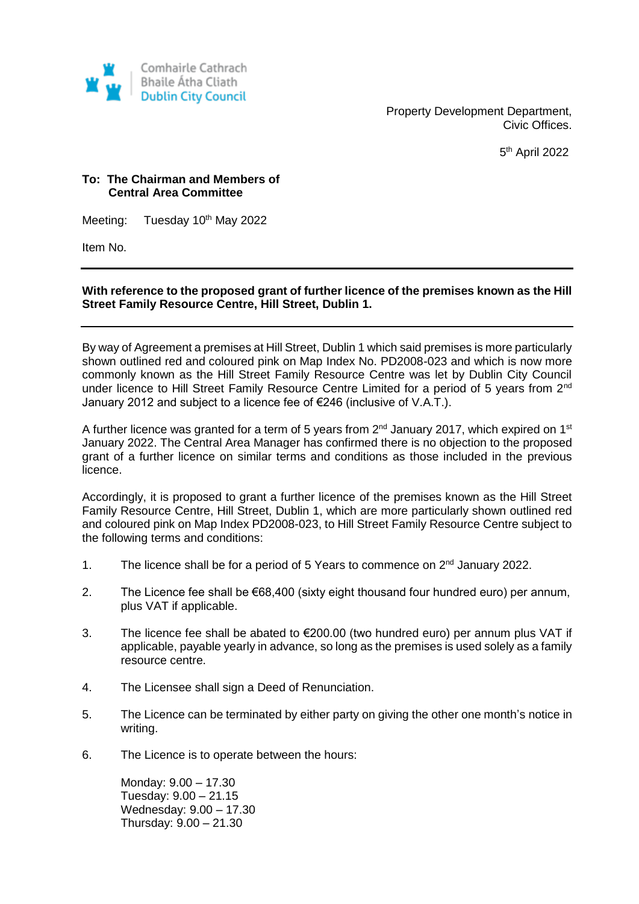

Property Development Department, Civic Offices.

5 th April 2022

## **To: The Chairman and Members of Central Area Committee**

Meeting: Tuesday 10<sup>th</sup> May 2022

Item No.

## **With reference to the proposed grant of further licence of the premises known as the Hill Street Family Resource Centre, Hill Street, Dublin 1.**

By way of Agreement a premises at Hill Street, Dublin 1 which said premises is more particularly shown outlined red and coloured pink on Map Index No. PD2008-023 and which is now more commonly known as the Hill Street Family Resource Centre was let by Dublin City Council under licence to Hill Street Family Resource Centre Limited for a period of 5 years from 2<sup>nd</sup> January 2012 and subject to a licence fee of €246 (inclusive of V.A.T.).

A further licence was granted for a term of 5 years from  $2^{nd}$  January 2017, which expired on 1<sup>st</sup> January 2022. The Central Area Manager has confirmed there is no objection to the proposed grant of a further licence on similar terms and conditions as those included in the previous licence.

Accordingly, it is proposed to grant a further licence of the premises known as the Hill Street Family Resource Centre, Hill Street, Dublin 1, which are more particularly shown outlined red and coloured pink on Map Index PD2008-023, to Hill Street Family Resource Centre subject to the following terms and conditions:

- 1. The licence shall be for a period of 5 Years to commence on  $2^{nd}$  January 2022.
- 2. The Licence fee shall be €68,400 (sixty eight thousand four hundred euro) per annum, plus VAT if applicable.
- 3. The licence fee shall be abated to €200.00 (two hundred euro) per annum plus VAT if applicable, payable yearly in advance, so long as the premises is used solely as a family resource centre.
- 4. The Licensee shall sign a Deed of Renunciation.
- 5. The Licence can be terminated by either party on giving the other one month's notice in writing.
- 6. The Licence is to operate between the hours:

Monday: 9.00 – 17.30 Tuesday: 9.00 – 21.15 Wednesday: 9.00 – 17.30 Thursday: 9.00 – 21.30